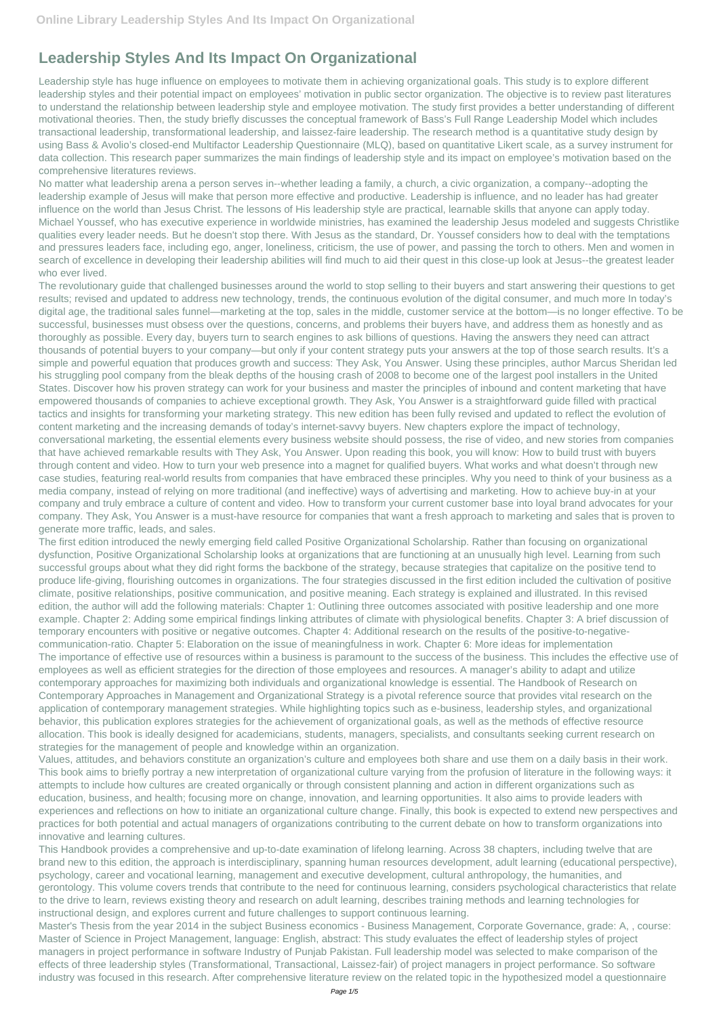## **Leadership Styles And Its Impact On Organizational**

Leadership style has huge influence on employees to motivate them in achieving organizational goals. This study is to explore different leadership styles and their potential impact on employees' motivation in public sector organization. The objective is to review past literatures to understand the relationship between leadership style and employee motivation. The study first provides a better understanding of different motivational theories. Then, the study briefly discusses the conceptual framework of Bass's Full Range Leadership Model which includes transactional leadership, transformational leadership, and laissez-faire leadership. The research method is a quantitative study design by using Bass & Avolio's closed-end Multifactor Leadership Questionnaire (MLQ), based on quantitative Likert scale, as a survey instrument for data collection. This research paper summarizes the main findings of leadership style and its impact on employee's motivation based on the comprehensive literatures reviews.

No matter what leadership arena a person serves in--whether leading a family, a church, a civic organization, a company--adopting the leadership example of Jesus will make that person more effective and productive. Leadership is influence, and no leader has had greater influence on the world than Jesus Christ. The lessons of His leadership style are practical, learnable skills that anyone can apply today. Michael Youssef, who has executive experience in worldwide ministries, has examined the leadership Jesus modeled and suggests Christlike qualities every leader needs. But he doesn't stop there. With Jesus as the standard, Dr. Youssef considers how to deal with the temptations and pressures leaders face, including ego, anger, loneliness, criticism, the use of power, and passing the torch to others. Men and women in search of excellence in developing their leadership abilities will find much to aid their quest in this close-up look at Jesus--the greatest leader who ever lived.

The revolutionary guide that challenged businesses around the world to stop selling to their buyers and start answering their questions to get results; revised and updated to address new technology, trends, the continuous evolution of the digital consumer, and much more In today's digital age, the traditional sales funnel—marketing at the top, sales in the middle, customer service at the bottom—is no longer effective. To be successful, businesses must obsess over the questions, concerns, and problems their buyers have, and address them as honestly and as thoroughly as possible. Every day, buyers turn to search engines to ask billions of questions. Having the answers they need can attract thousands of potential buyers to your company—but only if your content strategy puts your answers at the top of those search results. It's a simple and powerful equation that produces growth and success: They Ask, You Answer. Using these principles, author Marcus Sheridan led his struggling pool company from the bleak depths of the housing crash of 2008 to become one of the largest pool installers in the United States. Discover how his proven strategy can work for your business and master the principles of inbound and content marketing that have empowered thousands of companies to achieve exceptional growth. They Ask, You Answer is a straightforward guide filled with practical tactics and insights for transforming your marketing strategy. This new edition has been fully revised and updated to reflect the evolution of content marketing and the increasing demands of today's internet-savvy buyers. New chapters explore the impact of technology, conversational marketing, the essential elements every business website should possess, the rise of video, and new stories from companies that have achieved remarkable results with They Ask, You Answer. Upon reading this book, you will know: How to build trust with buyers through content and video. How to turn your web presence into a magnet for qualified buyers. What works and what doesn't through new case studies, featuring real-world results from companies that have embraced these principles. Why you need to think of your business as a media company, instead of relying on more traditional (and ineffective) ways of advertising and marketing. How to achieve buy-in at your company and truly embrace a culture of content and video. How to transform your current customer base into loyal brand advocates for your company. They Ask, You Answer is a must-have resource for companies that want a fresh approach to marketing and sales that is proven to generate more traffic, leads, and sales.

The first edition introduced the newly emerging field called Positive Organizational Scholarship. Rather than focusing on organizational dysfunction, Positive Organizational Scholarship looks at organizations that are functioning at an unusually high level. Learning from such successful groups about what they did right forms the backbone of the strategy, because strategies that capitalize on the positive tend to produce life-giving, flourishing outcomes in organizations. The four strategies discussed in the first edition included the cultivation of positive climate, positive relationships, positive communication, and positive meaning. Each strategy is explained and illustrated. In this revised edition, the author will add the following materials: Chapter 1: Outlining three outcomes associated with positive leadership and one more example. Chapter 2: Adding some empirical findings linking attributes of climate with physiological benefits. Chapter 3: A brief discussion of temporary encounters with positive or negative outcomes. Chapter 4: Additional research on the results of the positive-to-negativecommunication-ratio. Chapter 5: Elaboration on the issue of meaningfulness in work. Chapter 6: More ideas for implementation The importance of effective use of resources within a business is paramount to the success of the business. This includes the effective use of employees as well as efficient strategies for the direction of those employees and resources. A manager's ability to adapt and utilize contemporary approaches for maximizing both individuals and organizational knowledge is essential. The Handbook of Research on Contemporary Approaches in Management and Organizational Strategy is a pivotal reference source that provides vital research on the application of contemporary management strategies. While highlighting topics such as e-business, leadership styles, and organizational behavior, this publication explores strategies for the achievement of organizational goals, as well as the methods of effective resource allocation. This book is ideally designed for academicians, students, managers, specialists, and consultants seeking current research on strategies for the management of people and knowledge within an organization.

Values, attitudes, and behaviors constitute an organization's culture and employees both share and use them on a daily basis in their work. This book aims to briefly portray a new interpretation of organizational culture varying from the profusion of literature in the following ways: it attempts to include how cultures are created organically or through consistent planning and action in different organizations such as education, business, and health; focusing more on change, innovation, and learning opportunities. It also aims to provide leaders with experiences and reflections on how to initiate an organizational culture change. Finally, this book is expected to extend new perspectives and practices for both potential and actual managers of organizations contributing to the current debate on how to transform organizations into innovative and learning cultures. This Handbook provides a comprehensive and up-to-date examination of lifelong learning. Across 38 chapters, including twelve that are brand new to this edition, the approach is interdisciplinary, spanning human resources development, adult learning (educational perspective), psychology, career and vocational learning, management and executive development, cultural anthropology, the humanities, and gerontology. This volume covers trends that contribute to the need for continuous learning, considers psychological characteristics that relate to the drive to learn, reviews existing theory and research on adult learning, describes training methods and learning technologies for instructional design, and explores current and future challenges to support continuous learning. Master's Thesis from the year 2014 in the subject Business economics - Business Management, Corporate Governance, grade: A, , course: Master of Science in Project Management, language: English, abstract: This study evaluates the effect of leadership styles of project managers in project performance in software Industry of Punjab Pakistan. Full leadership model was selected to make comparison of the effects of three leadership styles (Transformational, Transactional, Laissez-fair) of project managers in project performance. So software industry was focused in this research. After comprehensive literature review on the related topic in the hypothesized model a questionnaire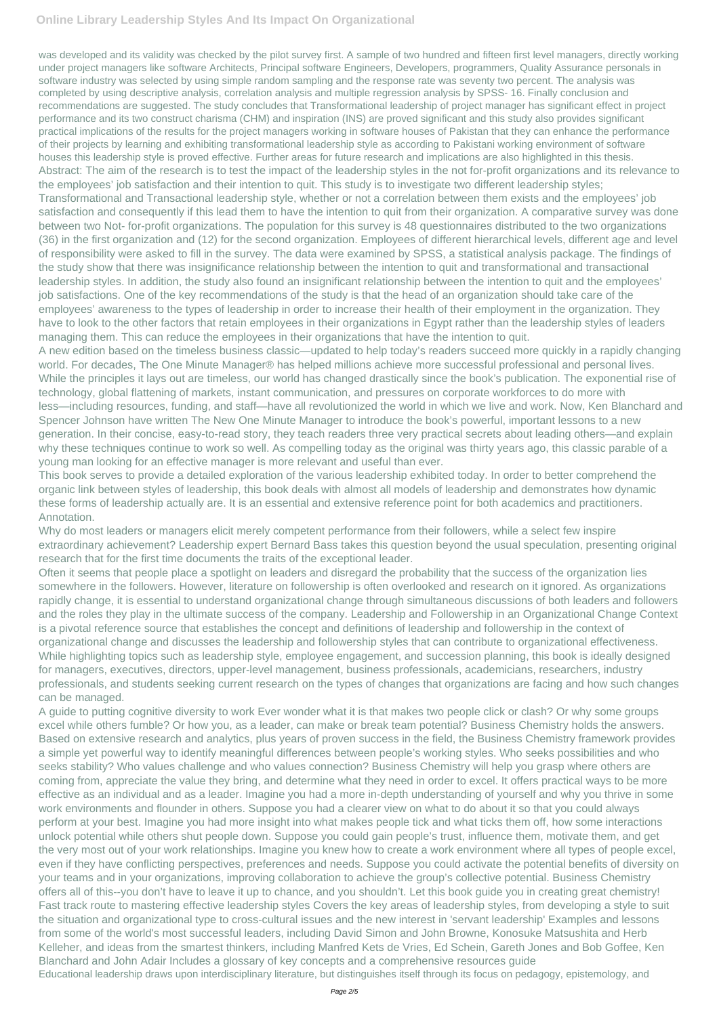## **Online Library Leadership Styles And Its Impact On Organizational**

was developed and its validity was checked by the pilot survey first. A sample of two hundred and fifteen first level managers, directly working under project managers like software Architects, Principal software Engineers, Developers, programmers, Quality Assurance personals in software industry was selected by using simple random sampling and the response rate was seventy two percent. The analysis was completed by using descriptive analysis, correlation analysis and multiple regression analysis by SPSS- 16. Finally conclusion and recommendations are suggested. The study concludes that Transformational leadership of project manager has significant effect in project performance and its two construct charisma (CHM) and inspiration (INS) are proved significant and this study also provides significant practical implications of the results for the project managers working in software houses of Pakistan that they can enhance the performance of their projects by learning and exhibiting transformational leadership style as according to Pakistani working environment of software houses this leadership style is proved effective. Further areas for future research and implications are also highlighted in this thesis. Abstract: The aim of the research is to test the impact of the leadership styles in the not for-profit organizations and its relevance to the employees' job satisfaction and their intention to quit. This study is to investigate two different leadership styles; Transformational and Transactional leadership style, whether or not a correlation between them exists and the employees' job satisfaction and consequently if this lead them to have the intention to quit from their organization. A comparative survey was done between two Not- for-profit organizations. The population for this survey is 48 questionnaires distributed to the two organizations (36) in the first organization and (12) for the second organization. Employees of different hierarchical levels, different age and level of responsibility were asked to fill in the survey. The data were examined by SPSS, a statistical analysis package. The findings of the study show that there was insignificance relationship between the intention to quit and transformational and transactional leadership styles. In addition, the study also found an insignificant relationship between the intention to quit and the employees' job satisfactions. One of the key recommendations of the study is that the head of an organization should take care of the employees' awareness to the types of leadership in order to increase their health of their employment in the organization. They have to look to the other factors that retain employees in their organizations in Egypt rather than the leadership styles of leaders managing them. This can reduce the employees in their organizations that have the intention to quit.

A new edition based on the timeless business classic—updated to help today's readers succeed more quickly in a rapidly changing world. For decades, The One Minute Manager® has helped millions achieve more successful professional and personal lives. While the principles it lays out are timeless, our world has changed drastically since the book's publication. The exponential rise of technology, global flattening of markets, instant communication, and pressures on corporate workforces to do more with less—including resources, funding, and staff—have all revolutionized the world in which we live and work. Now, Ken Blanchard and Spencer Johnson have written The New One Minute Manager to introduce the book's powerful, important lessons to a new generation. In their concise, easy-to-read story, they teach readers three very practical secrets about leading others—and explain why these techniques continue to work so well. As compelling today as the original was thirty years ago, this classic parable of a young man looking for an effective manager is more relevant and useful than ever.

This book serves to provide a detailed exploration of the various leadership exhibited today. In order to better comprehend the organic link between styles of leadership, this book deals with almost all models of leadership and demonstrates how dynamic these forms of leadership actually are. It is an essential and extensive reference point for both academics and practitioners. Annotation.

Why do most leaders or managers elicit merely competent performance from their followers, while a select few inspire extraordinary achievement? Leadership expert Bernard Bass takes this question beyond the usual speculation, presenting original research that for the first time documents the traits of the exceptional leader.

Often it seems that people place a spotlight on leaders and disregard the probability that the success of the organization lies somewhere in the followers. However, literature on followership is often overlooked and research on it ignored. As organizations rapidly change, it is essential to understand organizational change through simultaneous discussions of both leaders and followers and the roles they play in the ultimate success of the company. Leadership and Followership in an Organizational Change Context is a pivotal reference source that establishes the concept and definitions of leadership and followership in the context of organizational change and discusses the leadership and followership styles that can contribute to organizational effectiveness. While highlighting topics such as leadership style, employee engagement, and succession planning, this book is ideally designed for managers, executives, directors, upper-level management, business professionals, academicians, researchers, industry professionals, and students seeking current research on the types of changes that organizations are facing and how such changes can be managed.

A guide to putting cognitive diversity to work Ever wonder what it is that makes two people click or clash? Or why some groups excel while others fumble? Or how you, as a leader, can make or break team potential? Business Chemistry holds the answers. Based on extensive research and analytics, plus years of proven success in the field, the Business Chemistry framework provides a simple yet powerful way to identify meaningful differences between people's working styles. Who seeks possibilities and who seeks stability? Who values challenge and who values connection? Business Chemistry will help you grasp where others are coming from, appreciate the value they bring, and determine what they need in order to excel. It offers practical ways to be more effective as an individual and as a leader. Imagine you had a more in-depth understanding of yourself and why you thrive in some work environments and flounder in others. Suppose you had a clearer view on what to do about it so that you could always perform at your best. Imagine you had more insight into what makes people tick and what ticks them off, how some interactions unlock potential while others shut people down. Suppose you could gain people's trust, influence them, motivate them, and get the very most out of your work relationships. Imagine you knew how to create a work environment where all types of people excel, even if they have conflicting perspectives, preferences and needs. Suppose you could activate the potential benefits of diversity on your teams and in your organizations, improving collaboration to achieve the group's collective potential. Business Chemistry offers all of this--you don't have to leave it up to chance, and you shouldn't. Let this book guide you in creating great chemistry! Fast track route to mastering effective leadership styles Covers the key areas of leadership styles, from developing a style to suit the situation and organizational type to cross-cultural issues and the new interest in 'servant leadership' Examples and lessons from some of the world's most successful leaders, including David Simon and John Browne, Konosuke Matsushita and Herb Kelleher, and ideas from the smartest thinkers, including Manfred Kets de Vries, Ed Schein, Gareth Jones and Bob Goffee, Ken Blanchard and John Adair Includes a glossary of key concepts and a comprehensive resources guide Educational leadership draws upon interdisciplinary literature, but distinguishes itself through its focus on pedagogy, epistemology, and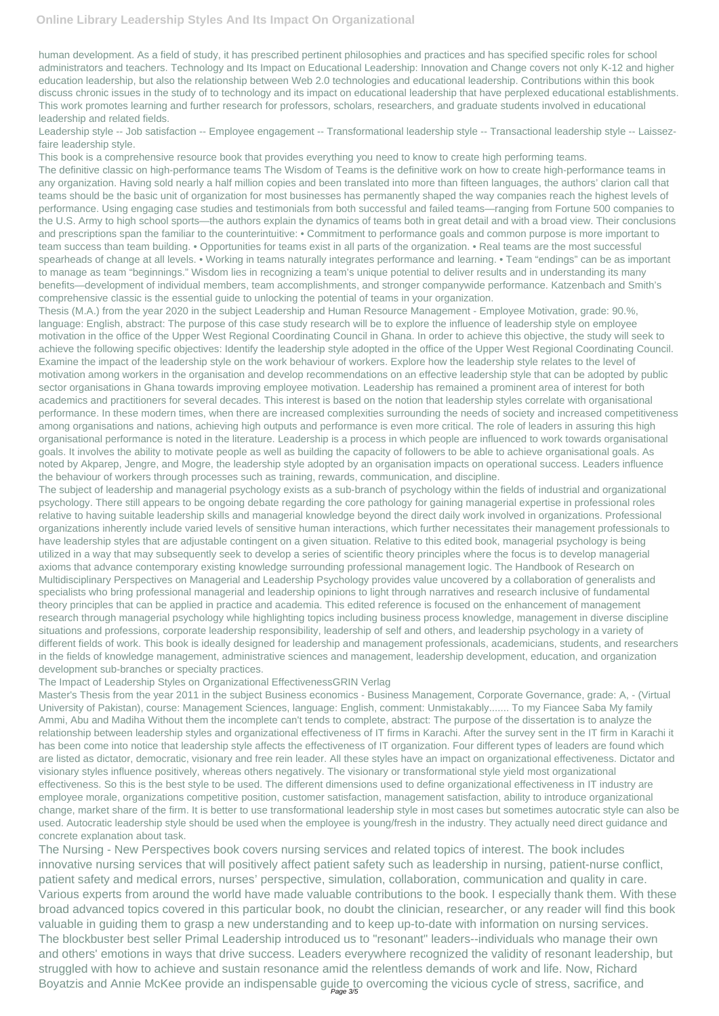human development. As a field of study, it has prescribed pertinent philosophies and practices and has specified specific roles for school administrators and teachers. Technology and Its Impact on Educational Leadership: Innovation and Change covers not only K-12 and higher education leadership, but also the relationship between Web 2.0 technologies and educational leadership. Contributions within this book discuss chronic issues in the study of to technology and its impact on educational leadership that have perplexed educational establishments. This work promotes learning and further research for professors, scholars, researchers, and graduate students involved in educational leadership and related fields.

Leadership style -- Job satisfaction -- Employee engagement -- Transformational leadership style -- Transactional leadership style -- Laissezfaire leadership style.

This book is a comprehensive resource book that provides everything you need to know to create high performing teams.

The definitive classic on high-performance teams The Wisdom of Teams is the definitive work on how to create high-performance teams in any organization. Having sold nearly a half million copies and been translated into more than fifteen languages, the authors' clarion call that teams should be the basic unit of organization for most businesses has permanently shaped the way companies reach the highest levels of performance. Using engaging case studies and testimonials from both successful and failed teams—ranging from Fortune 500 companies to the U.S. Army to high school sports—the authors explain the dynamics of teams both in great detail and with a broad view. Their conclusions and prescriptions span the familiar to the counterintuitive: • Commitment to performance goals and common purpose is more important to team success than team building. • Opportunities for teams exist in all parts of the organization. • Real teams are the most successful spearheads of change at all levels. • Working in teams naturally integrates performance and learning. • Team "endings" can be as important to manage as team "beginnings." Wisdom lies in recognizing a team's unique potential to deliver results and in understanding its many benefits—development of individual members, team accomplishments, and stronger companywide performance. Katzenbach and Smith's comprehensive classic is the essential guide to unlocking the potential of teams in your organization.

Thesis (M.A.) from the year 2020 in the subject Leadership and Human Resource Management - Employee Motivation, grade: 90.%, language: English, abstract: The purpose of this case study research will be to explore the influence of leadership style on employee motivation in the office of the Upper West Regional Coordinating Council in Ghana. In order to achieve this objective, the study will seek to achieve the following specific objectives: Identify the leadership style adopted in the office of the Upper West Regional Coordinating Council. Examine the impact of the leadership style on the work behaviour of workers. Explore how the leadership style relates to the level of motivation among workers in the organisation and develop recommendations on an effective leadership style that can be adopted by public sector organisations in Ghana towards improving employee motivation. Leadership has remained a prominent area of interest for both academics and practitioners for several decades. This interest is based on the notion that leadership styles correlate with organisational performance. In these modern times, when there are increased complexities surrounding the needs of society and increased competitiveness among organisations and nations, achieving high outputs and performance is even more critical. The role of leaders in assuring this high organisational performance is noted in the literature. Leadership is a process in which people are influenced to work towards organisational goals. It involves the ability to motivate people as well as building the capacity of followers to be able to achieve organisational goals. As noted by Akparep, Jengre, and Mogre, the leadership style adopted by an organisation impacts on operational success. Leaders influence the behaviour of workers through processes such as training, rewards, communication, and discipline.

The Nursing - New Perspectives book covers nursing services and related topics of interest. The book includes innovative nursing services that will positively affect patient safety such as leadership in nursing, patient-nurse conflict, patient safety and medical errors, nurses' perspective, simulation, collaboration, communication and quality in care. Various experts from around the world have made valuable contributions to the book. I especially thank them. With these broad advanced topics covered in this particular book, no doubt the clinician, researcher, or any reader will find this book valuable in guiding them to grasp a new understanding and to keep up-to-date with information on nursing services. The blockbuster best seller Primal Leadership introduced us to "resonant" leaders--individuals who manage their own and others' emotions in ways that drive success. Leaders everywhere recognized the validity of resonant leadership, but struggled with how to achieve and sustain resonance amid the relentless demands of work and life. Now, Richard Boyatzis and Annie McKee provide an indispensable guide to overcoming the vicious cycle of stress, sacrifice, and

The subject of leadership and managerial psychology exists as a sub-branch of psychology within the fields of industrial and organizational psychology. There still appears to be ongoing debate regarding the core pathology for gaining managerial expertise in professional roles relative to having suitable leadership skills and managerial knowledge beyond the direct daily work involved in organizations. Professional organizations inherently include varied levels of sensitive human interactions, which further necessitates their management professionals to have leadership styles that are adjustable contingent on a given situation. Relative to this edited book, managerial psychology is being utilized in a way that may subsequently seek to develop a series of scientific theory principles where the focus is to develop managerial axioms that advance contemporary existing knowledge surrounding professional management logic. The Handbook of Research on Multidisciplinary Perspectives on Managerial and Leadership Psychology provides value uncovered by a collaboration of generalists and specialists who bring professional managerial and leadership opinions to light through narratives and research inclusive of fundamental theory principles that can be applied in practice and academia. This edited reference is focused on the enhancement of management research through managerial psychology while highlighting topics including business process knowledge, management in diverse discipline situations and professions, corporate leadership responsibility, leadership of self and others, and leadership psychology in a variety of different fields of work. This book is ideally designed for leadership and management professionals, academicians, students, and researchers in the fields of knowledge management, administrative sciences and management, leadership development, education, and organization development sub-branches or specialty practices.

## The Impact of Leadership Styles on Organizational EffectivenessGRIN Verlag

Master's Thesis from the year 2011 in the subject Business economics - Business Management, Corporate Governance, grade: A, - (Virtual University of Pakistan), course: Management Sciences, language: English, comment: Unmistakably....... To my Fiancee Saba My family Ammi, Abu and Madiha Without them the incomplete can't tends to complete, abstract: The purpose of the dissertation is to analyze the relationship between leadership styles and organizational effectiveness of IT firms in Karachi. After the survey sent in the IT firm in Karachi it has been come into notice that leadership style affects the effectiveness of IT organization. Four different types of leaders are found which are listed as dictator, democratic, visionary and free rein leader. All these styles have an impact on organizational effectiveness. Dictator and

visionary styles influence positively, whereas others negatively. The visionary or transformational style yield most organizational effectiveness. So this is the best style to be used. The different dimensions used to define organizational effectiveness in IT industry are employee morale, organizations competitive position, customer satisfaction, management satisfaction, ability to introduce organizational change, market share of the firm. It is better to use transformational leadership style in most cases but sometimes autocratic style can also be used. Autocratic leadership style should be used when the employee is young/fresh in the industry. They actually need direct guidance and concrete explanation about task.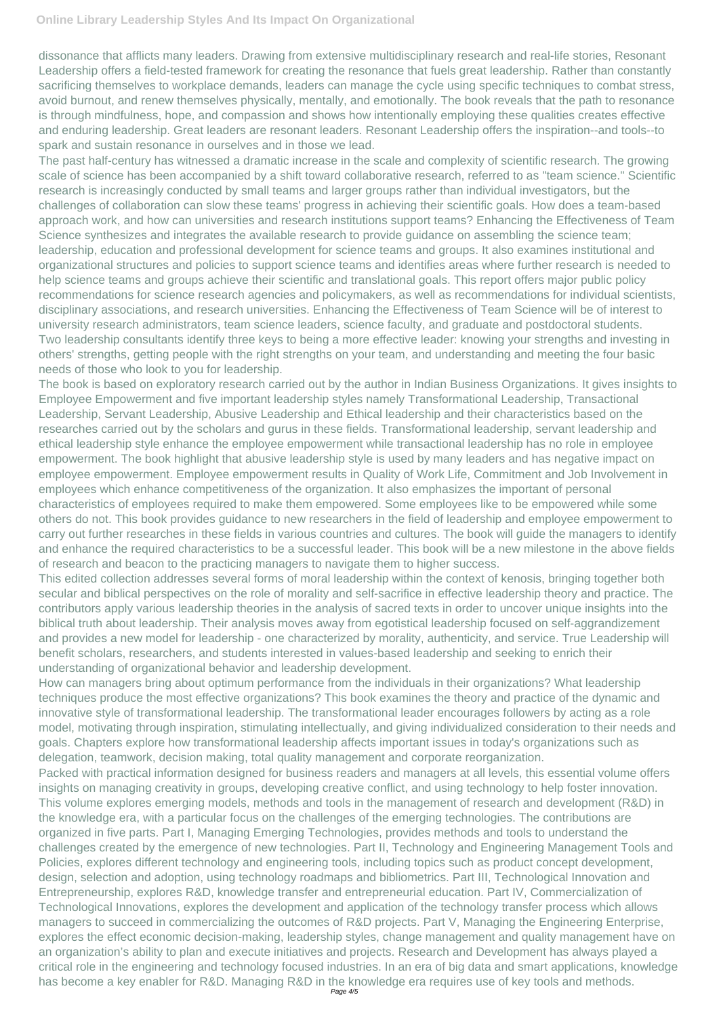dissonance that afflicts many leaders. Drawing from extensive multidisciplinary research and real-life stories, Resonant Leadership offers a field-tested framework for creating the resonance that fuels great leadership. Rather than constantly sacrificing themselves to workplace demands, leaders can manage the cycle using specific techniques to combat stress, avoid burnout, and renew themselves physically, mentally, and emotionally. The book reveals that the path to resonance is through mindfulness, hope, and compassion and shows how intentionally employing these qualities creates effective and enduring leadership. Great leaders are resonant leaders. Resonant Leadership offers the inspiration--and tools--to spark and sustain resonance in ourselves and in those we lead.

The past half-century has witnessed a dramatic increase in the scale and complexity of scientific research. The growing scale of science has been accompanied by a shift toward collaborative research, referred to as "team science." Scientific research is increasingly conducted by small teams and larger groups rather than individual investigators, but the challenges of collaboration can slow these teams' progress in achieving their scientific goals. How does a team-based approach work, and how can universities and research institutions support teams? Enhancing the Effectiveness of Team Science synthesizes and integrates the available research to provide guidance on assembling the science team; leadership, education and professional development for science teams and groups. It also examines institutional and organizational structures and policies to support science teams and identifies areas where further research is needed to help science teams and groups achieve their scientific and translational goals. This report offers major public policy recommendations for science research agencies and policymakers, as well as recommendations for individual scientists, disciplinary associations, and research universities. Enhancing the Effectiveness of Team Science will be of interest to university research administrators, team science leaders, science faculty, and graduate and postdoctoral students. Two leadership consultants identify three keys to being a more effective leader: knowing your strengths and investing in others' strengths, getting people with the right strengths on your team, and understanding and meeting the four basic needs of those who look to you for leadership.

The book is based on exploratory research carried out by the author in Indian Business Organizations. It gives insights to Employee Empowerment and five important leadership styles namely Transformational Leadership, Transactional Leadership, Servant Leadership, Abusive Leadership and Ethical leadership and their characteristics based on the researches carried out by the scholars and gurus in these fields. Transformational leadership, servant leadership and ethical leadership style enhance the employee empowerment while transactional leadership has no role in employee empowerment. The book highlight that abusive leadership style is used by many leaders and has negative impact on employee empowerment. Employee empowerment results in Quality of Work Life, Commitment and Job Involvement in employees which enhance competitiveness of the organization. It also emphasizes the important of personal characteristics of employees required to make them empowered. Some employees like to be empowered while some others do not. This book provides guidance to new researchers in the field of leadership and employee empowerment to carry out further researches in these fields in various countries and cultures. The book will guide the managers to identify and enhance the required characteristics to be a successful leader. This book will be a new milestone in the above fields of research and beacon to the practicing managers to navigate them to higher success.

This edited collection addresses several forms of moral leadership within the context of kenosis, bringing together both secular and biblical perspectives on the role of morality and self-sacrifice in effective leadership theory and practice. The contributors apply various leadership theories in the analysis of sacred texts in order to uncover unique insights into the biblical truth about leadership. Their analysis moves away from egotistical leadership focused on self-aggrandizement and provides a new model for leadership - one characterized by morality, authenticity, and service. True Leadership will benefit scholars, researchers, and students interested in values-based leadership and seeking to enrich their understanding of organizational behavior and leadership development.

How can managers bring about optimum performance from the individuals in their organizations? What leadership techniques produce the most effective organizations? This book examines the theory and practice of the dynamic and innovative style of transformational leadership. The transformational leader encourages followers by acting as a role model, motivating through inspiration, stimulating intellectually, and giving individualized consideration to their needs and goals. Chapters explore how transformational leadership affects important issues in today's organizations such as delegation, teamwork, decision making, total quality management and corporate reorganization.

Packed with practical information designed for business readers and managers at all levels, this essential volume offers insights on managing creativity in groups, developing creative conflict, and using technology to help foster innovation. This volume explores emerging models, methods and tools in the management of research and development (R&D) in the knowledge era, with a particular focus on the challenges of the emerging technologies. The contributions are organized in five parts. Part I, Managing Emerging Technologies, provides methods and tools to understand the challenges created by the emergence of new technologies. Part II, Technology and Engineering Management Tools and Policies, explores different technology and engineering tools, including topics such as product concept development, design, selection and adoption, using technology roadmaps and bibliometrics. Part III, Technological Innovation and Entrepreneurship, explores R&D, knowledge transfer and entrepreneurial education. Part IV, Commercialization of Technological Innovations, explores the development and application of the technology transfer process which allows managers to succeed in commercializing the outcomes of R&D projects. Part V, Managing the Engineering Enterprise, explores the effect economic decision-making, leadership styles, change management and quality management have on an organization's ability to plan and execute initiatives and projects. Research and Development has always played a critical role in the engineering and technology focused industries. In an era of big data and smart applications, knowledge has become a key enabler for R&D. Managing R&D in the knowledge era requires use of key tools and methods. Page 4/5